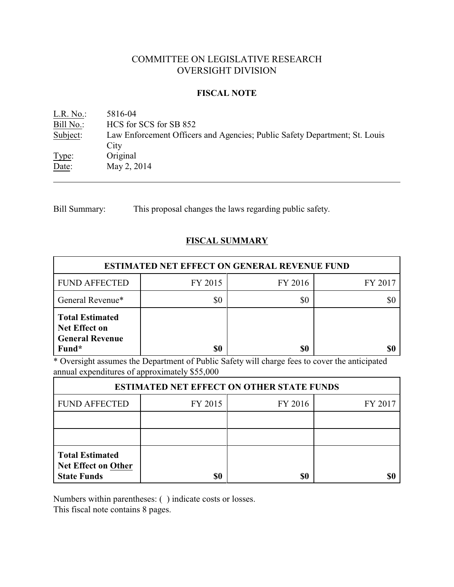# COMMITTEE ON LEGISLATIVE RESEARCH OVERSIGHT DIVISION

## **FISCAL NOTE**

<u>L.R. No.</u>: 5816-04<br>Bill No.: HCS for HCS for SCS for SB 852 Subject: Law Enforcement Officers and Agencies; Public Safety Department; St. Louis **City** Type: Original Date: May 2, 2014

Bill Summary: This proposal changes the laws regarding public safety.

# **FISCAL SUMMARY**

| <b>ESTIMATED NET EFFECT ON GENERAL REVENUE FUND</b>                               |         |         |         |  |
|-----------------------------------------------------------------------------------|---------|---------|---------|--|
| <b>FUND AFFECTED</b>                                                              | FY 2015 | FY 2016 | FY 2017 |  |
| General Revenue*                                                                  | \$0     | \$0     |         |  |
| <b>Total Estimated</b><br><b>Net Effect on</b><br><b>General Revenue</b><br>Fund* | \$0     | \$0     |         |  |

\* Oversight assumes the Department of Public Safety will charge fees to cover the anticipated annual expenditures of approximately \$55,000

| <b>ESTIMATED NET EFFECT ON OTHER STATE FUNDS</b>                           |         |         |         |  |  |
|----------------------------------------------------------------------------|---------|---------|---------|--|--|
| <b>FUND AFFECTED</b>                                                       | FY 2015 | FY 2016 | FY 2017 |  |  |
|                                                                            |         |         |         |  |  |
|                                                                            |         |         |         |  |  |
| <b>Total Estimated</b><br><b>Net Effect on Other</b><br><b>State Funds</b> | \$0     | \$0     |         |  |  |

Numbers within parentheses: ( ) indicate costs or losses.

This fiscal note contains 8 pages.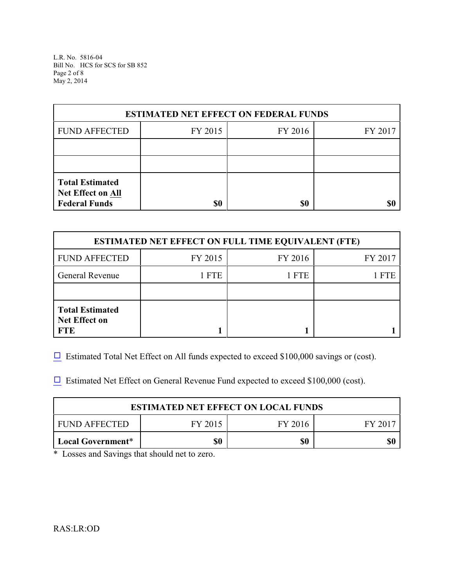L.R. No. 5816-04 Bill No. HCS for SCS for SB 852 Page 2 of 8 May 2, 2014

| <b>ESTIMATED NET EFFECT ON FEDERAL FUNDS</b>                        |         |         |         |  |  |
|---------------------------------------------------------------------|---------|---------|---------|--|--|
| <b>FUND AFFECTED</b>                                                | FY 2015 | FY 2016 | FY 2017 |  |  |
|                                                                     |         |         |         |  |  |
|                                                                     |         |         |         |  |  |
| <b>Total Estimated</b><br>Net Effect on All<br><b>Federal Funds</b> | \$0     | \$0     |         |  |  |

| <b>ESTIMATED NET EFFECT ON FULL TIME EQUIVALENT (FTE)</b>    |         |         |         |  |  |
|--------------------------------------------------------------|---------|---------|---------|--|--|
| <b>FUND AFFECTED</b>                                         | FY 2015 | FY 2016 | FY 2017 |  |  |
| <b>General Revenue</b>                                       | 1 FTE   | 1 FTE   | 1 FTE   |  |  |
|                                                              |         |         |         |  |  |
| <b>Total Estimated</b><br><b>Net Effect on</b><br><b>FTE</b> |         |         |         |  |  |

 $\Box$  Estimated Total Net Effect on All funds expected to exceed \$100,000 savings or (cost).

 $\Box$  Estimated Net Effect on General Revenue Fund expected to exceed \$100,000 (cost).

| <b>ESTIMATED NET EFFECT ON LOCAL FUNDS</b> |         |         |         |  |
|--------------------------------------------|---------|---------|---------|--|
| FUND AFFECTED                              | FY 2015 | FY 2016 | FY 2017 |  |
| Local Government*                          | \$0     | \$0     | \$1     |  |

\* Losses and Savings that should net to zero.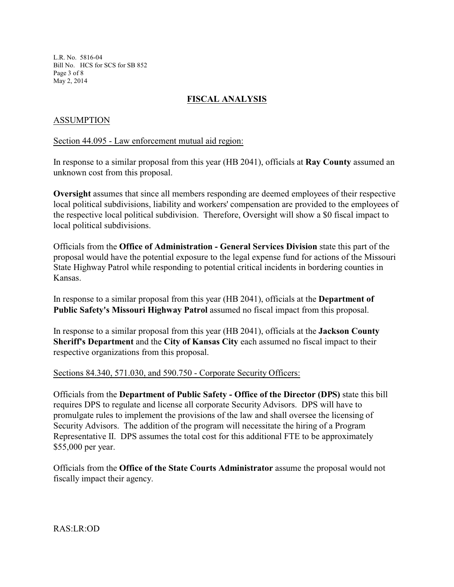L.R. No. 5816-04 Bill No. HCS for SCS for SB 852 Page 3 of 8 May 2, 2014

# **FISCAL ANALYSIS**

## ASSUMPTION

#### Section 44.095 - Law enforcement mutual aid region:

In response to a similar proposal from this year (HB 2041), officials at **Ray County** assumed an unknown cost from this proposal.

**Oversight** assumes that since all members responding are deemed employees of their respective local political subdivisions, liability and workers' compensation are provided to the employees of the respective local political subdivision. Therefore, Oversight will show a \$0 fiscal impact to local political subdivisions.

Officials from the **Office of Administration - General Services Division** state this part of the proposal would have the potential exposure to the legal expense fund for actions of the Missouri State Highway Patrol while responding to potential critical incidents in bordering counties in Kansas.

In response to a similar proposal from this year (HB 2041), officials at the **Department of Public Safety's Missouri Highway Patrol** assumed no fiscal impact from this proposal.

In response to a similar proposal from this year (HB 2041), officials at the **Jackson County Sheriff's Department** and the **City of Kansas City** each assumed no fiscal impact to their respective organizations from this proposal.

#### Sections 84.340, 571.030, and 590.750 - Corporate Security Officers:

Officials from the **Department of Public Safety - Office of the Director (DPS)** state this bill requires DPS to regulate and license all corporate Security Advisors. DPS will have to promulgate rules to implement the provisions of the law and shall oversee the licensing of Security Advisors. The addition of the program will necessitate the hiring of a Program Representative II. DPS assumes the total cost for this additional FTE to be approximately \$55,000 per year.

Officials from the **Office of the State Courts Administrator** assume the proposal would not fiscally impact their agency.

RAS:LR:OD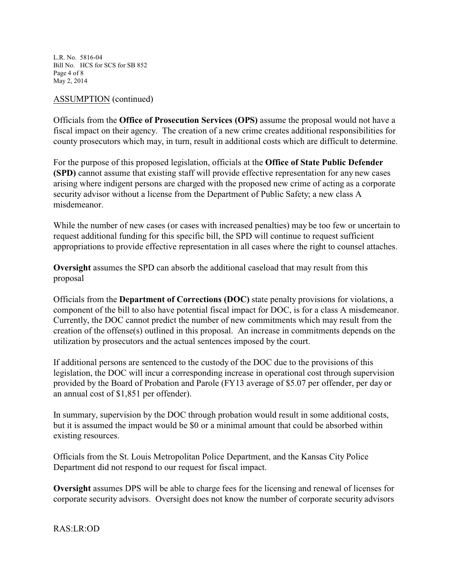L.R. No. 5816-04 Bill No. HCS for SCS for SB 852 Page 4 of 8 May 2, 2014

#### ASSUMPTION (continued)

Officials from the **Office of Prosecution Services (OPS)** assume the proposal would not have a fiscal impact on their agency. The creation of a new crime creates additional responsibilities for county prosecutors which may, in turn, result in additional costs which are difficult to determine.

For the purpose of this proposed legislation, officials at the **Office of State Public Defender (SPD)** cannot assume that existing staff will provide effective representation for any new cases arising where indigent persons are charged with the proposed new crime of acting as a corporate security advisor without a license from the Department of Public Safety; a new class A misdemeanor.

While the number of new cases (or cases with increased penalties) may be too few or uncertain to request additional funding for this specific bill, the SPD will continue to request sufficient appropriations to provide effective representation in all cases where the right to counsel attaches.

**Oversight** assumes the SPD can absorb the additional caseload that may result from this proposal

Officials from the **Department of Corrections (DOC)** state penalty provisions for violations, a component of the bill to also have potential fiscal impact for DOC, is for a class A misdemeanor. Currently, the DOC cannot predict the number of new commitments which may result from the creation of the offense(s) outlined in this proposal. An increase in commitments depends on the utilization by prosecutors and the actual sentences imposed by the court.

If additional persons are sentenced to the custody of the DOC due to the provisions of this legislation, the DOC will incur a corresponding increase in operational cost through supervision provided by the Board of Probation and Parole (FY13 average of \$5.07 per offender, per day or an annual cost of \$1,851 per offender).

In summary, supervision by the DOC through probation would result in some additional costs, but it is assumed the impact would be \$0 or a minimal amount that could be absorbed within existing resources.

Officials from the St. Louis Metropolitan Police Department, and the Kansas City Police Department did not respond to our request for fiscal impact.

**Oversight** assumes DPS will be able to charge fees for the licensing and renewal of licenses for corporate security advisors. Oversight does not know the number of corporate security advisors

RAS:LR:OD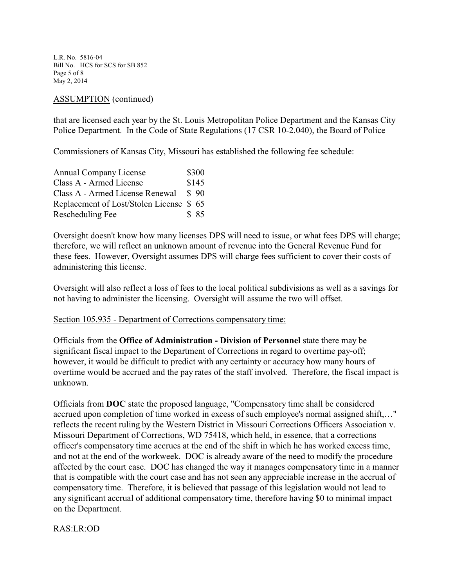L.R. No. 5816-04 Bill No. HCS for SCS for SB 852 Page 5 of 8 May 2, 2014

## ASSUMPTION (continued)

that are licensed each year by the St. Louis Metropolitan Police Department and the Kansas City Police Department. In the Code of State Regulations (17 CSR 10-2.040), the Board of Police

Commissioners of Kansas City, Missouri has established the following fee schedule:

| Annual Company License                  | \$300 |
|-----------------------------------------|-------|
| Class A - Armed License                 | \$145 |
| Class A - Armed License Renewal         | \$90  |
| Replacement of Lost/Stolen License \$65 |       |
| Rescheduling Fee                        | \$85  |

Oversight doesn't know how many licenses DPS will need to issue, or what fees DPS will charge; therefore, we will reflect an unknown amount of revenue into the General Revenue Fund for these fees. However, Oversight assumes DPS will charge fees sufficient to cover their costs of administering this license.

Oversight will also reflect a loss of fees to the local political subdivisions as well as a savings for not having to administer the licensing. Oversight will assume the two will offset.

#### Section 105.935 - Department of Corrections compensatory time:

Officials from the **Office of Administration - Division of Personnel** state there may be significant fiscal impact to the Department of Corrections in regard to overtime pay-off; however, it would be difficult to predict with any certainty or accuracy how many hours of overtime would be accrued and the pay rates of the staff involved. Therefore, the fiscal impact is unknown.

Officials from **DOC** state the proposed language, "Compensatory time shall be considered accrued upon completion of time worked in excess of such employee's normal assigned shift,…" reflects the recent ruling by the Western District in Missouri Corrections Officers Association v. Missouri Department of Corrections, WD 75418, which held, in essence, that a corrections officer's compensatory time accrues at the end of the shift in which he has worked excess time, and not at the end of the workweek. DOC is already aware of the need to modify the procedure affected by the court case. DOC has changed the way it manages compensatory time in a manner that is compatible with the court case and has not seen any appreciable increase in the accrual of compensatory time. Therefore, it is believed that passage of this legislation would not lead to any significant accrual of additional compensatory time, therefore having \$0 to minimal impact on the Department.

RAS:LR:OD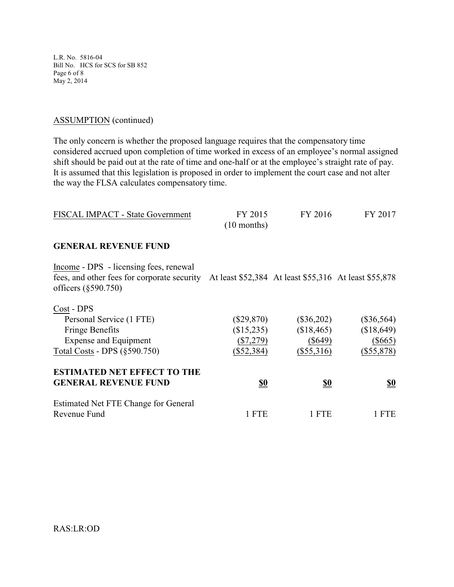L.R. No. 5816-04 Bill No. HCS for SCS for SB 852 Page 6 of 8 May 2, 2014

## ASSUMPTION (continued)

The only concern is whether the proposed language requires that the compensatory time considered accrued upon completion of time worked in excess of an employee's normal assigned shift should be paid out at the rate of time and one-half or at the employee's straight rate of pay. It is assumed that this legislation is proposed in order to implement the court case and not alter the way the FLSA calculates compensatory time.

| FISCAL IMPACT - State Government                                                                                                 | FY 2015<br>$(10$ months)                                  | FY 2016                                               | FY 2017                                                 |
|----------------------------------------------------------------------------------------------------------------------------------|-----------------------------------------------------------|-------------------------------------------------------|---------------------------------------------------------|
| <b>GENERAL REVENUE FUND</b>                                                                                                      |                                                           |                                                       |                                                         |
| Income - DPS - licensing fees, renewal<br>fees, and other fees for corporate security<br>officers $(\S 590.750)$                 |                                                           | At least \$52,384 At least \$55,316 At least \$55,878 |                                                         |
| Cost - DPS<br>Personal Service (1 FTE)<br><b>Fringe Benefits</b><br><b>Expense and Equipment</b><br>Total Costs - DPS (§590.750) | $(\$29,870)$<br>(\$15,235)<br>$(\$7,279)$<br>$(\$52,384)$ | $(\$36,202)$<br>\$18,465<br>$(\$649)$<br>$(\$55,316)$ | $(\$36,564)$<br>(\$18,649)<br>$(\$665)$<br>$(\$55,878)$ |
| <b>ESTIMATED NET EFFECT TO THE</b><br><b>GENERAL REVENUE FUND</b>                                                                | <u>\$0</u>                                                | <u>\$0</u>                                            | <u>\$0</u>                                              |
| Estimated Net FTE Change for General<br>Revenue Fund                                                                             | 1 FTE                                                     | 1 FTE                                                 | 1 FTE                                                   |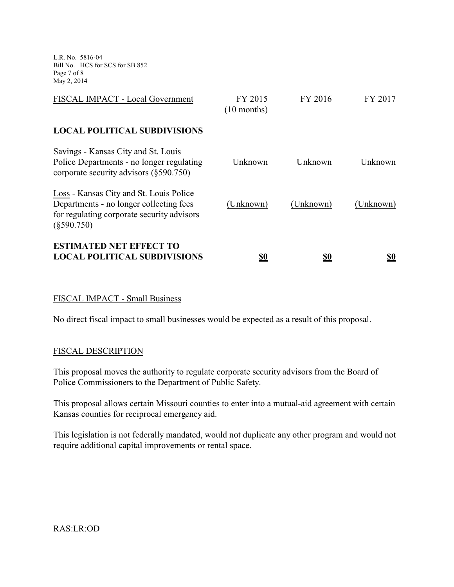L.R. No. 5816-04 Bill No. HCS for SCS for SB 852 Page 7 of 8 May 2, 2014

| FISCAL IMPACT - Local Government                                                                                                                  | FY 2015<br>$(10$ months) | FY 2016   | FY 2017    |
|---------------------------------------------------------------------------------------------------------------------------------------------------|--------------------------|-----------|------------|
| <b>LOCAL POLITICAL SUBDIVISIONS</b>                                                                                                               |                          |           |            |
| Savings - Kansas City and St. Louis<br>Police Departments - no longer regulating<br>corporate security advisors $(\S 590.750)$                    | Unknown                  | Unknown   | Unknown    |
| Loss - Kansas City and St. Louis Police<br>Departments - no longer collecting fees<br>for regulating corporate security advisors<br>$(\$590.750)$ | (Unknown)                | (Unknown) | (Unknown)  |
| <b>ESTIMATED NET EFFECT TO</b><br><b>LOCAL POLITICAL SUBDIVISIONS</b>                                                                             | <u>\$0</u>               | <u>so</u> | <u>\$0</u> |

## FISCAL IMPACT - Small Business

No direct fiscal impact to small businesses would be expected as a result of this proposal.

#### FISCAL DESCRIPTION

This proposal moves the authority to regulate corporate security advisors from the Board of Police Commissioners to the Department of Public Safety.

This proposal allows certain Missouri counties to enter into a mutual-aid agreement with certain Kansas counties for reciprocal emergency aid.

This legislation is not federally mandated, would not duplicate any other program and would not require additional capital improvements or rental space.